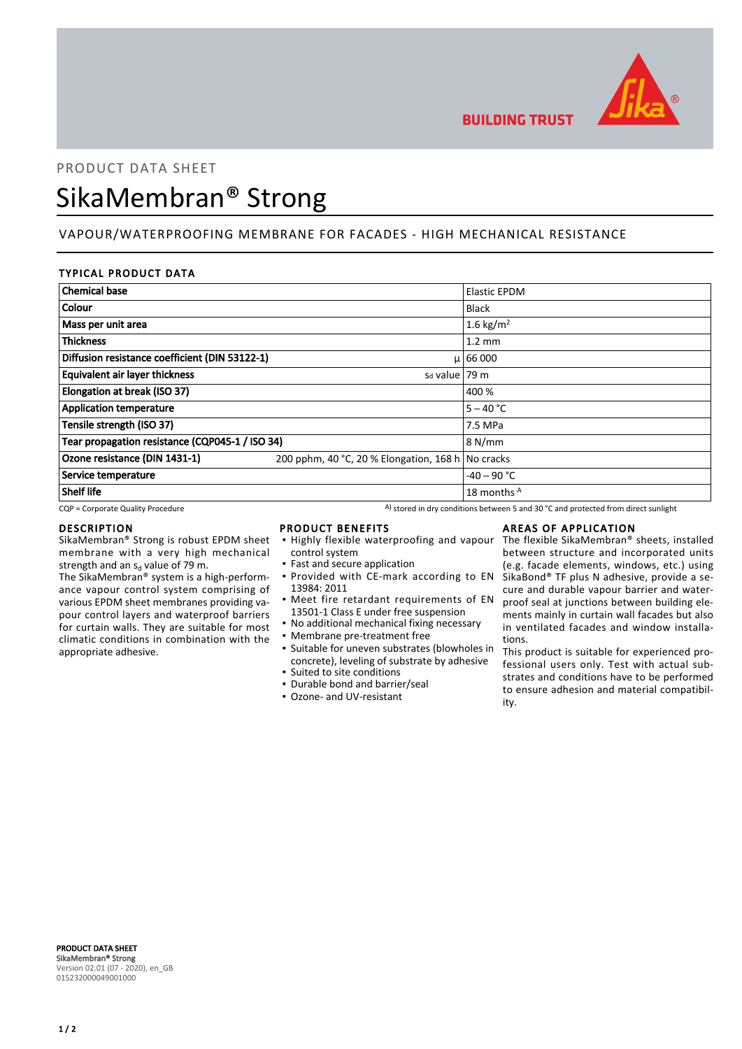

# **BUILDING TRUST**

# PRODUCT DATA SHEET SikaMembran® Strong

## VAPOUR/WATERPROOFING MEMBRANE FOR FACADES - HIGH MECHANICAL RESISTANCE

#### TYPICAL PRODUCT DATA

| <b>Chemical base</b>                                |                                                   | Elastic EPDM     |
|-----------------------------------------------------|---------------------------------------------------|------------------|
| Colour                                              |                                                   | <b>Black</b>     |
| Mass per unit area                                  |                                                   | 1.6 kg/ $m^2$    |
| <b>Thickness</b>                                    |                                                   | $1.2 \text{ mm}$ |
| Diffusion resistance coefficient (DIN 53122-1)      |                                                   | $\mu$ 66 000     |
| Equivalent air layer thickness<br>$sd$ value   79 m |                                                   |                  |
| Elongation at break (ISO 37)                        |                                                   | 400 %            |
| <b>Application temperature</b>                      |                                                   | $5 - 40 °C$      |
| Tensile strength (ISO 37)                           |                                                   | 7.5 MPa          |
| Tear propagation resistance (CQP045-1 / ISO 34)     |                                                   | 8 N/mm           |
| Ozone resistance (DIN 1431-1)                       | 200 pphm, 40 °C, 20 % Elongation, 168 h No cracks |                  |
| Service temperature                                 |                                                   | $-40 - 90$ °C    |
| <b>Shelf life</b>                                   |                                                   | 18 months A      |

 $CQP$  = Corporate Quality Procedure  $A)$  stored in dry conditions between 5 and 30 °C and protected from direct sunlight

#### DESCRIPTION

SikaMembran® Strong is robust EPDM sheet membrane with a very high mechanical strength and an s<sub>d</sub> value of 79 m.

The SikaMembran® system is a high-performance vapour control system comprising of various EPDM sheet membranes providing vapour control layers and waterproof barriers for curtain walls. They are suitable for most climatic conditions in combination with the appropriate adhesive.

#### PRODUCT BENEFITS

- **.** Highly flexible waterproofing and vapour control system
- Fast and secure application **• Provided with CE-mark according to EN**
- 13984: 2011 **•** Meet fire retardant requirements of EN
- 13501-1 Class E under free suspension • No additional mechanical fixing necessary
- 
- Membrane pre-treatment free
- Suitable for uneven substrates (blowholes in concrete), leveling of substrate by adhesive ▪ Suited to site conditions
- Durable bond and barrier/seal
- Ozone- and UV-resistant

#### AREAS OF APPLICATION

The flexible SikaMembran® sheets, installed between structure and incorporated units (e.g. facade elements, windows, etc.) using SikaBond® TF plus N adhesive, provide a secure and durable vapour barrier and waterproof seal at junctions between building elements mainly in curtain wall facades but also in ventilated facades and window installations.

This product is suitable for experienced professional users only. Test with actual substrates and conditions have to be performed to ensure adhesion and material compatibility.

PRODUCT DATA SHEET SikaMembran® Strong Version 02.01 (07 - 2020), en\_GB 015232000049001000